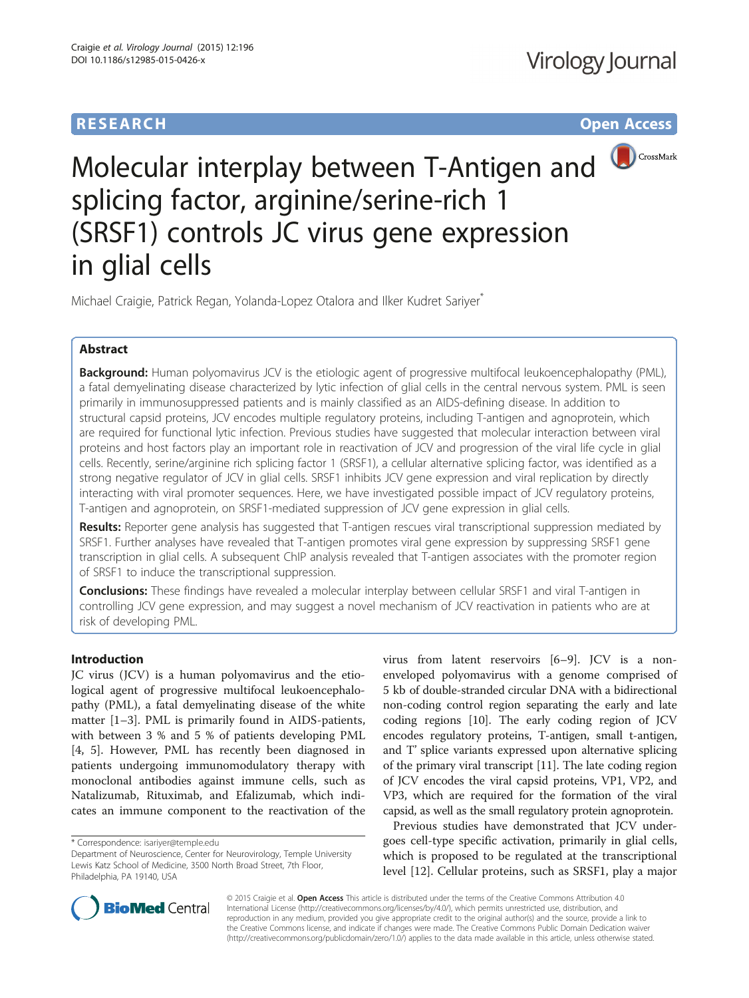# **RESEARCH RESEARCH** *CHECK CHECK CHECK CHECK CHECK CHECK CHECK CHECK CHECK CHECK CHECK CHECK CHECK CHECK CHECK CHECK CHECK CHECK CHECK CHECK CHECK CHECK CHECK CHECK CHECK CHECK CHECK CHECK CHECK CHECK CHECK CHECK CHECK*



# Molecular interplay between T-Antigen and splicing factor, arginine/serine-rich 1 (SRSF1) controls JC virus gene expression in glial cells

Michael Craigie, Patrick Regan, Yolanda-Lopez Otalora and Ilker Kudret Sariyer<sup>\*</sup>

# Abstract

Background: Human polyomavirus JCV is the etiologic agent of progressive multifocal leukoencephalopathy (PML), a fatal demyelinating disease characterized by lytic infection of glial cells in the central nervous system. PML is seen primarily in immunosuppressed patients and is mainly classified as an AIDS-defining disease. In addition to structural capsid proteins, JCV encodes multiple regulatory proteins, including T-antigen and agnoprotein, which are required for functional lytic infection. Previous studies have suggested that molecular interaction between viral proteins and host factors play an important role in reactivation of JCV and progression of the viral life cycle in glial cells. Recently, serine/arginine rich splicing factor 1 (SRSF1), a cellular alternative splicing factor, was identified as a strong negative regulator of JCV in glial cells. SRSF1 inhibits JCV gene expression and viral replication by directly interacting with viral promoter sequences. Here, we have investigated possible impact of JCV regulatory proteins, T-antigen and agnoprotein, on SRSF1-mediated suppression of JCV gene expression in glial cells.

Results: Reporter gene analysis has suggested that T-antigen rescues viral transcriptional suppression mediated by SRSF1. Further analyses have revealed that T-antigen promotes viral gene expression by suppressing SRSF1 gene transcription in glial cells. A subsequent ChIP analysis revealed that T-antigen associates with the promoter region of SRSF1 to induce the transcriptional suppression.

**Conclusions:** These findings have revealed a molecular interplay between cellular SRSF1 and viral T-antigen in controlling JCV gene expression, and may suggest a novel mechanism of JCV reactivation in patients who are at risk of developing PML.

## Introduction

JC virus (JCV) is a human polyomavirus and the etiological agent of progressive multifocal leukoencephalopathy (PML), a fatal demyelinating disease of the white matter [[1](#page-6-0)–[3](#page-6-0)]. PML is primarily found in AIDS-patients, with between 3 % and 5 % of patients developing PML [[4, 5\]](#page-6-0). However, PML has recently been diagnosed in patients undergoing immunomodulatory therapy with monoclonal antibodies against immune cells, such as Natalizumab, Rituximab, and Efalizumab, which indicates an immune component to the reactivation of the virus from latent reservoirs [[6](#page-6-0)–[9](#page-6-0)]. JCV is a nonenveloped polyomavirus with a genome comprised of 5 kb of double-stranded circular DNA with a bidirectional non-coding control region separating the early and late coding regions [[10\]](#page-6-0). The early coding region of JCV encodes regulatory proteins, T-antigen, small t-antigen, and T' splice variants expressed upon alternative splicing of the primary viral transcript [[11](#page-6-0)]. The late coding region of JCV encodes the viral capsid proteins, VP1, VP2, and VP3, which are required for the formation of the viral capsid, as well as the small regulatory protein agnoprotein.

Previous studies have demonstrated that JCV undergoes cell-type specific activation, primarily in glial cells, which is proposed to be regulated at the transcriptional level [[12](#page-6-0)]. Cellular proteins, such as SRSF1, play a major



© 2015 Craigie et al. Open Access This article is distributed under the terms of the Creative Commons Attribution 4.0 International License [\(http://creativecommons.org/licenses/by/4.0/](http://creativecommons.org/licenses/by/4.0/)), which permits unrestricted use, distribution, and reproduction in any medium, provided you give appropriate credit to the original author(s) and the source, provide a link to the Creative Commons license, and indicate if changes were made. The Creative Commons Public Domain Dedication waiver [\(http://creativecommons.org/publicdomain/zero/1.0/](http://creativecommons.org/publicdomain/zero/1.0/)) applies to the data made available in this article, unless otherwise stated.

<sup>\*</sup> Correspondence: [isariyer@temple.edu](mailto:isariyer@temple.edu)

Department of Neuroscience, Center for Neurovirology, Temple University Lewis Katz School of Medicine, 3500 North Broad Street, 7th Floor, Philadelphia, PA 19140, USA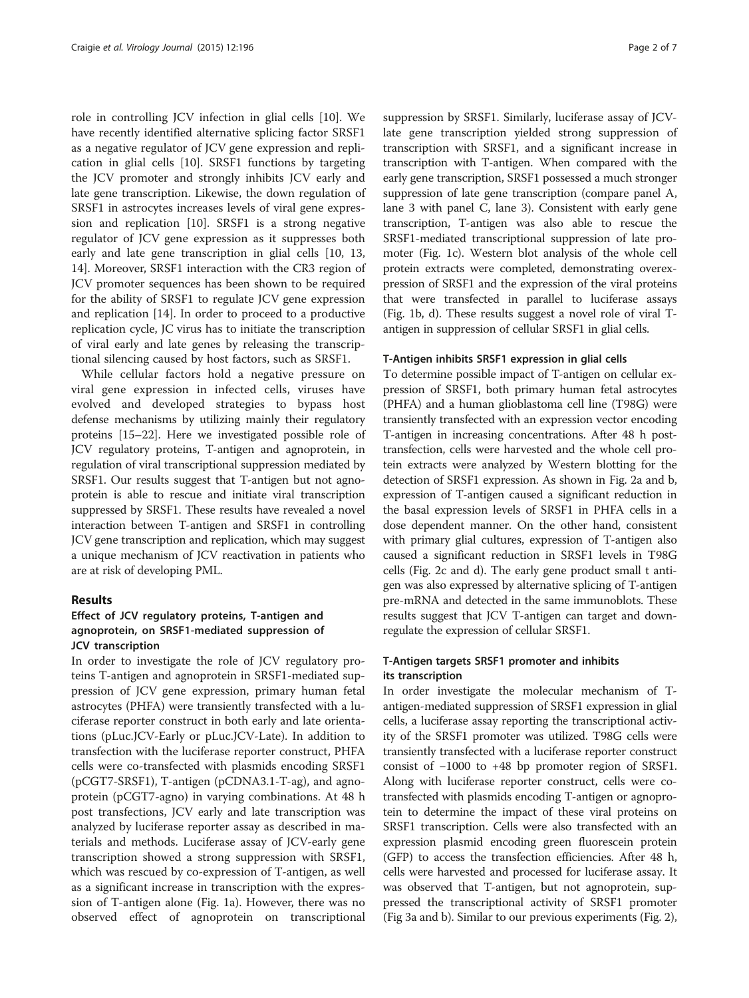role in controlling JCV infection in glial cells [[10\]](#page-6-0). We have recently identified alternative splicing factor SRSF1 as a negative regulator of JCV gene expression and replication in glial cells [\[10](#page-6-0)]. SRSF1 functions by targeting the JCV promoter and strongly inhibits JCV early and late gene transcription. Likewise, the down regulation of SRSF1 in astrocytes increases levels of viral gene expression and replication [[10](#page-6-0)]. SRSF1 is a strong negative regulator of JCV gene expression as it suppresses both early and late gene transcription in glial cells [[10, 13](#page-6-0), [14\]](#page-6-0). Moreover, SRSF1 interaction with the CR3 region of JCV promoter sequences has been shown to be required for the ability of SRSF1 to regulate JCV gene expression and replication [[14\]](#page-6-0). In order to proceed to a productive replication cycle, JC virus has to initiate the transcription of viral early and late genes by releasing the transcriptional silencing caused by host factors, such as SRSF1.

While cellular factors hold a negative pressure on viral gene expression in infected cells, viruses have evolved and developed strategies to bypass host defense mechanisms by utilizing mainly their regulatory proteins [\[15](#page-6-0)–[22\]](#page-6-0). Here we investigated possible role of JCV regulatory proteins, T-antigen and agnoprotein, in regulation of viral transcriptional suppression mediated by SRSF1. Our results suggest that T-antigen but not agnoprotein is able to rescue and initiate viral transcription suppressed by SRSF1. These results have revealed a novel interaction between T-antigen and SRSF1 in controlling JCV gene transcription and replication, which may suggest a unique mechanism of JCV reactivation in patients who are at risk of developing PML.

#### Results

### Effect of JCV regulatory proteins, T-antigen and agnoprotein, on SRSF1-mediated suppression of JCV transcription

In order to investigate the role of JCV regulatory proteins T-antigen and agnoprotein in SRSF1-mediated suppression of JCV gene expression, primary human fetal astrocytes (PHFA) were transiently transfected with a luciferase reporter construct in both early and late orientations (pLuc.JCV-Early or pLuc.JCV-Late). In addition to transfection with the luciferase reporter construct, PHFA cells were co-transfected with plasmids encoding SRSF1 (pCGT7-SRSF1), T-antigen (pCDNA3.1-T-ag), and agnoprotein (pCGT7-agno) in varying combinations. At 48 h post transfections, JCV early and late transcription was analyzed by luciferase reporter assay as described in materials and methods. Luciferase assay of JCV-early gene transcription showed a strong suppression with SRSF1, which was rescued by co-expression of T-antigen, as well as a significant increase in transcription with the expression of T-antigen alone (Fig. [1a](#page-2-0)). However, there was no observed effect of agnoprotein on transcriptional

suppression by SRSF1. Similarly, luciferase assay of JCVlate gene transcription yielded strong suppression of transcription with SRSF1, and a significant increase in transcription with T-antigen. When compared with the early gene transcription, SRSF1 possessed a much stronger suppression of late gene transcription (compare panel A, lane 3 with panel C, lane 3). Consistent with early gene transcription, T-antigen was also able to rescue the SRSF1-mediated transcriptional suppression of late promoter (Fig. [1c\)](#page-2-0). Western blot analysis of the whole cell protein extracts were completed, demonstrating overexpression of SRSF1 and the expression of the viral proteins that were transfected in parallel to luciferase assays (Fig. [1b, d](#page-2-0)). These results suggest a novel role of viral Tantigen in suppression of cellular SRSF1 in glial cells.

#### T-Antigen inhibits SRSF1 expression in glial cells

To determine possible impact of T-antigen on cellular expression of SRSF1, both primary human fetal astrocytes (PHFA) and a human glioblastoma cell line (T98G) were transiently transfected with an expression vector encoding T-antigen in increasing concentrations. After 48 h posttransfection, cells were harvested and the whole cell protein extracts were analyzed by Western blotting for the detection of SRSF1 expression. As shown in Fig. [2a and b](#page-3-0), expression of T-antigen caused a significant reduction in the basal expression levels of SRSF1 in PHFA cells in a dose dependent manner. On the other hand, consistent with primary glial cultures, expression of T-antigen also caused a significant reduction in SRSF1 levels in T98G cells (Fig. [2c and d\)](#page-3-0). The early gene product small t antigen was also expressed by alternative splicing of T-antigen pre-mRNA and detected in the same immunoblots. These results suggest that JCV T-antigen can target and downregulate the expression of cellular SRSF1.

#### T-Antigen targets SRSF1 promoter and inhibits its transcription

In order investigate the molecular mechanism of Tantigen-mediated suppression of SRSF1 expression in glial cells, a luciferase assay reporting the transcriptional activity of the SRSF1 promoter was utilized. T98G cells were transiently transfected with a luciferase reporter construct consist of −1000 to +48 bp promoter region of SRSF1. Along with luciferase reporter construct, cells were cotransfected with plasmids encoding T-antigen or agnoprotein to determine the impact of these viral proteins on SRSF1 transcription. Cells were also transfected with an expression plasmid encoding green fluorescein protein (GFP) to access the transfection efficiencies. After 48 h, cells were harvested and processed for luciferase assay. It was observed that T-antigen, but not agnoprotein, suppressed the transcriptional activity of SRSF1 promoter (Fig [3a and b](#page-4-0)). Similar to our previous experiments (Fig. [2](#page-3-0)),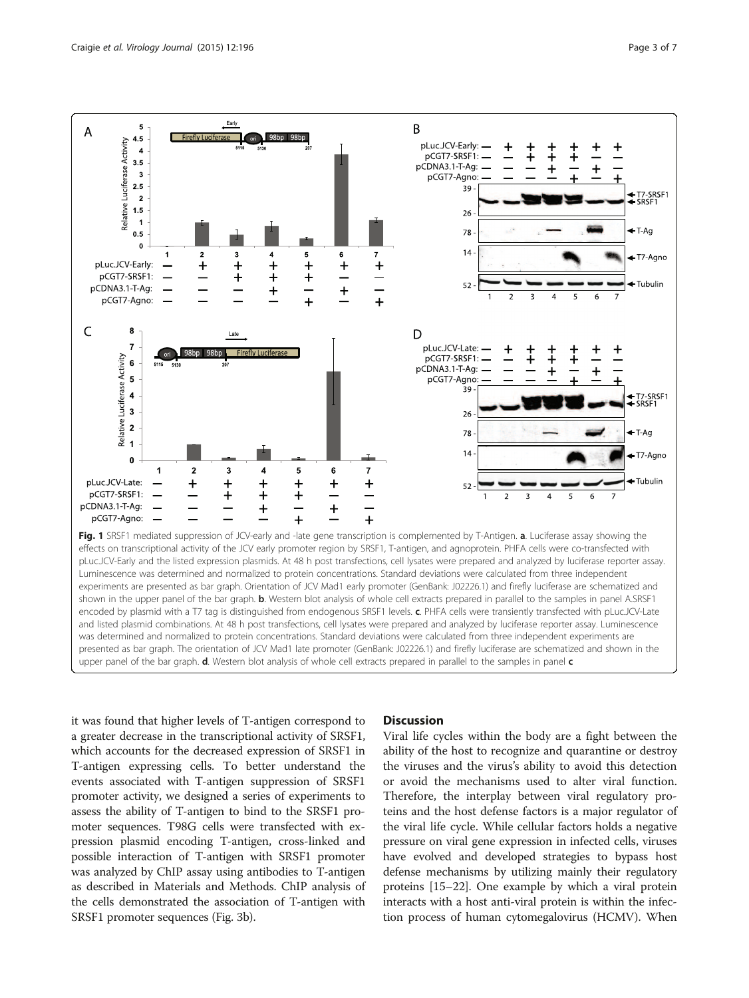<span id="page-2-0"></span>

effects on transcriptional activity of the JCV early promoter region by SRSF1, T-antigen, and agnoprotein. PHFA cells were co-transfected with pLuc.JCV-Early and the listed expression plasmids. At 48 h post transfections, cell lysates were prepared and analyzed by luciferase reporter assay. Luminescence was determined and normalized to protein concentrations. Standard deviations were calculated from three independent experiments are presented as bar graph. Orientation of JCV Mad1 early promoter (GenBank: J02226.1) and firefly luciferase are schematized and shown in the upper panel of the bar graph. **b**. Western blot analysis of whole cell extracts prepared in parallel to the samples in panel A.SRSF1 encoded by plasmid with a T7 tag is distinguished from endogenous SRSF1 levels. c. PHFA cells were transiently transfected with pLuc.JCV-Late and listed plasmid combinations. At 48 h post transfections, cell lysates were prepared and analyzed by luciferase reporter assay. Luminescence was determined and normalized to protein concentrations. Standard deviations were calculated from three independent experiments are presented as bar graph. The orientation of JCV Mad1 late promoter (GenBank: J02226.1) and firefly luciferase are schematized and shown in the upper panel of the bar graph.  $d$ . Western blot analysis of whole cell extracts prepared in parallel to the samples in panel  $c$ 

it was found that higher levels of T-antigen correspond to a greater decrease in the transcriptional activity of SRSF1, which accounts for the decreased expression of SRSF1 in T-antigen expressing cells. To better understand the events associated with T-antigen suppression of SRSF1 promoter activity, we designed a series of experiments to assess the ability of T-antigen to bind to the SRSF1 promoter sequences. T98G cells were transfected with expression plasmid encoding T-antigen, cross-linked and possible interaction of T-antigen with SRSF1 promoter was analyzed by ChIP assay using antibodies to T-antigen as described in Materials and Methods. ChIP analysis of the cells demonstrated the association of T-antigen with SRSF1 promoter sequences (Fig. [3b](#page-4-0)).

#### **Discussion**

Viral life cycles within the body are a fight between the ability of the host to recognize and quarantine or destroy the viruses and the virus's ability to avoid this detection or avoid the mechanisms used to alter viral function. Therefore, the interplay between viral regulatory proteins and the host defense factors is a major regulator of the viral life cycle. While cellular factors holds a negative pressure on viral gene expression in infected cells, viruses have evolved and developed strategies to bypass host defense mechanisms by utilizing mainly their regulatory proteins [[15](#page-6-0)–[22\]](#page-6-0). One example by which a viral protein interacts with a host anti-viral protein is within the infection process of human cytomegalovirus (HCMV). When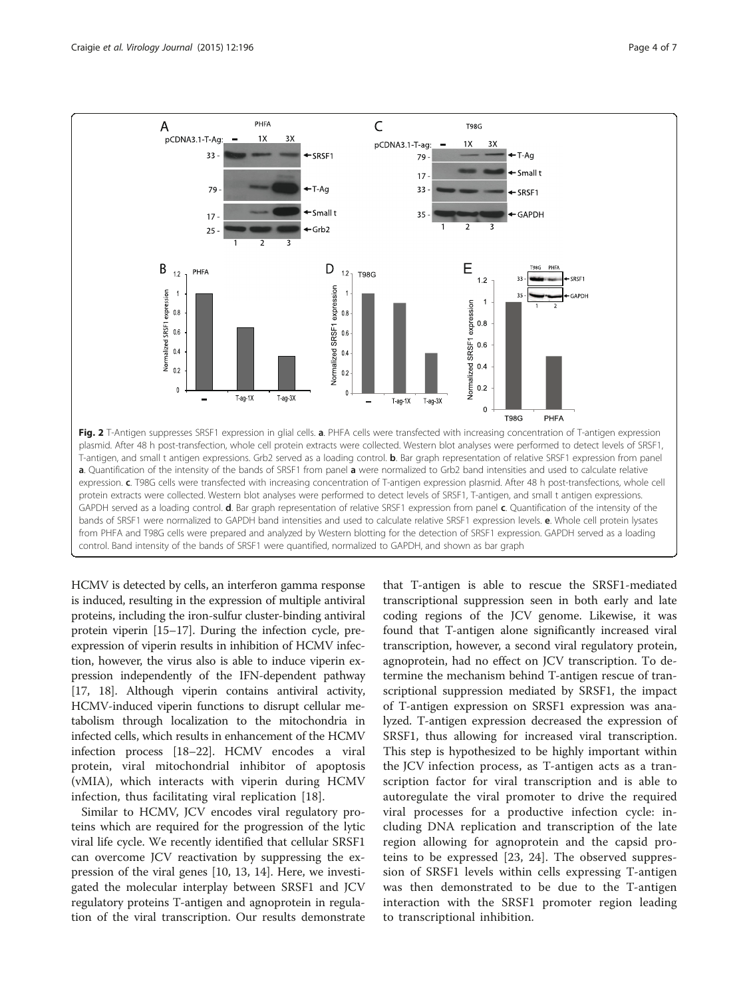<span id="page-3-0"></span>

HCMV is detected by cells, an interferon gamma response is induced, resulting in the expression of multiple antiviral proteins, including the iron-sulfur cluster-binding antiviral protein viperin [[15](#page-6-0)–[17\]](#page-6-0). During the infection cycle, preexpression of viperin results in inhibition of HCMV infection, however, the virus also is able to induce viperin expression independently of the IFN-dependent pathway [[17](#page-6-0), [18](#page-6-0)]. Although viperin contains antiviral activity, HCMV-induced viperin functions to disrupt cellular metabolism through localization to the mitochondria in infected cells, which results in enhancement of the HCMV infection process [[18](#page-6-0)–[22\]](#page-6-0). HCMV encodes a viral protein, viral mitochondrial inhibitor of apoptosis (vMIA), which interacts with viperin during HCMV infection, thus facilitating viral replication [[18](#page-6-0)].

Similar to HCMV, JCV encodes viral regulatory proteins which are required for the progression of the lytic viral life cycle. We recently identified that cellular SRSF1 can overcome JCV reactivation by suppressing the expression of the viral genes [[10](#page-6-0), [13, 14\]](#page-6-0). Here, we investigated the molecular interplay between SRSF1 and JCV regulatory proteins T-antigen and agnoprotein in regulation of the viral transcription. Our results demonstrate

that T-antigen is able to rescue the SRSF1-mediated transcriptional suppression seen in both early and late coding regions of the JCV genome. Likewise, it was found that T-antigen alone significantly increased viral transcription, however, a second viral regulatory protein, agnoprotein, had no effect on JCV transcription. To determine the mechanism behind T-antigen rescue of transcriptional suppression mediated by SRSF1, the impact of T-antigen expression on SRSF1 expression was analyzed. T-antigen expression decreased the expression of SRSF1, thus allowing for increased viral transcription. This step is hypothesized to be highly important within the JCV infection process, as T-antigen acts as a transcription factor for viral transcription and is able to autoregulate the viral promoter to drive the required viral processes for a productive infection cycle: including DNA replication and transcription of the late region allowing for agnoprotein and the capsid proteins to be expressed [[23, 24\]](#page-6-0). The observed suppression of SRSF1 levels within cells expressing T-antigen was then demonstrated to be due to the T-antigen interaction with the SRSF1 promoter region leading to transcriptional inhibition.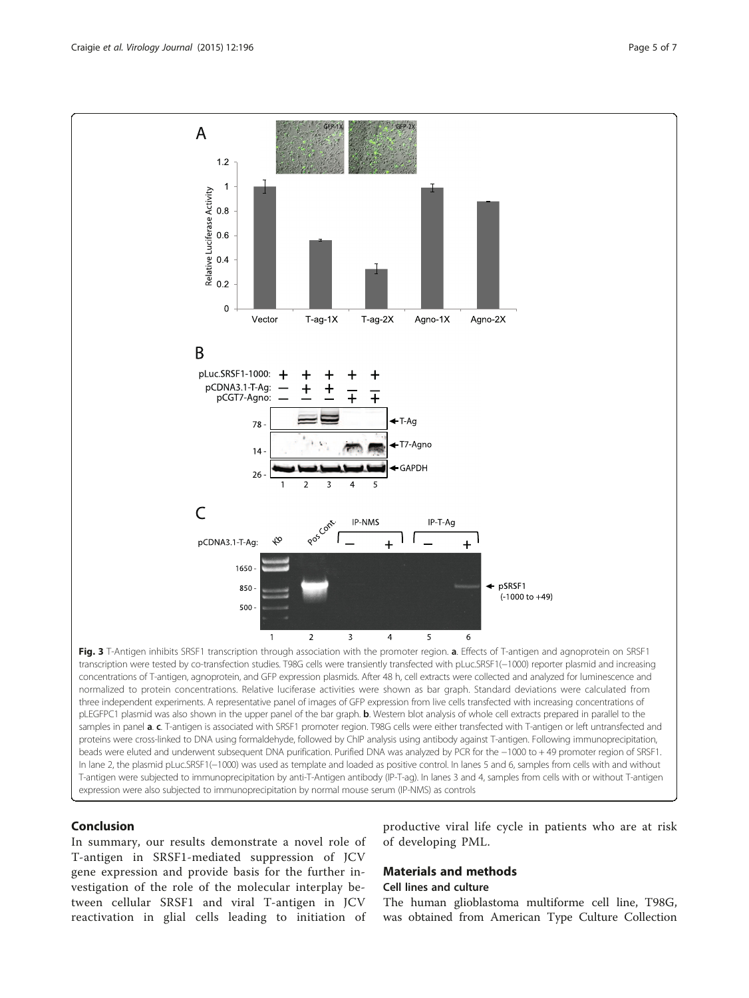<span id="page-4-0"></span>

three independent experiments. A representative panel of images of GFP expression from live cells transfected with increasing concentrations of pLEGFPC1 plasmid was also shown in the upper panel of the bar graph. **b**. Western blot analysis of whole cell extracts prepared in parallel to the samples in panel a. c. T-antigen is associated with SRSF1 promoter region. T98G cells were either transfected with T-antigen or left untransfected and proteins were cross-linked to DNA using formaldehyde, followed by ChIP analysis using antibody against T-antigen. Following immunoprecipitation, beads were eluted and underwent subsequent DNA purification. Purified DNA was analyzed by PCR for the −1000 to + 49 promoter region of SRSF1. In lane 2, the plasmid pLuc.SRSF1(−1000) was used as template and loaded as positive control. In lanes 5 and 6, samples from cells with and without T-antigen were subjected to immunoprecipitation by anti-T-Antigen antibody (IP-T-ag). In lanes 3 and 4, samples from cells with or without T-antigen expression were also subjected to immunoprecipitation by normal mouse serum (IP-NMS) as controls

### Conclusion

In summary, our results demonstrate a novel role of T-antigen in SRSF1-mediated suppression of JCV gene expression and provide basis for the further investigation of the role of the molecular interplay between cellular SRSF1 and viral T-antigen in JCV reactivation in glial cells leading to initiation of

productive viral life cycle in patients who are at risk of developing PML.

# Materials and methods

### Cell lines and culture

The human glioblastoma multiforme cell line, T98G, was obtained from American Type Culture Collection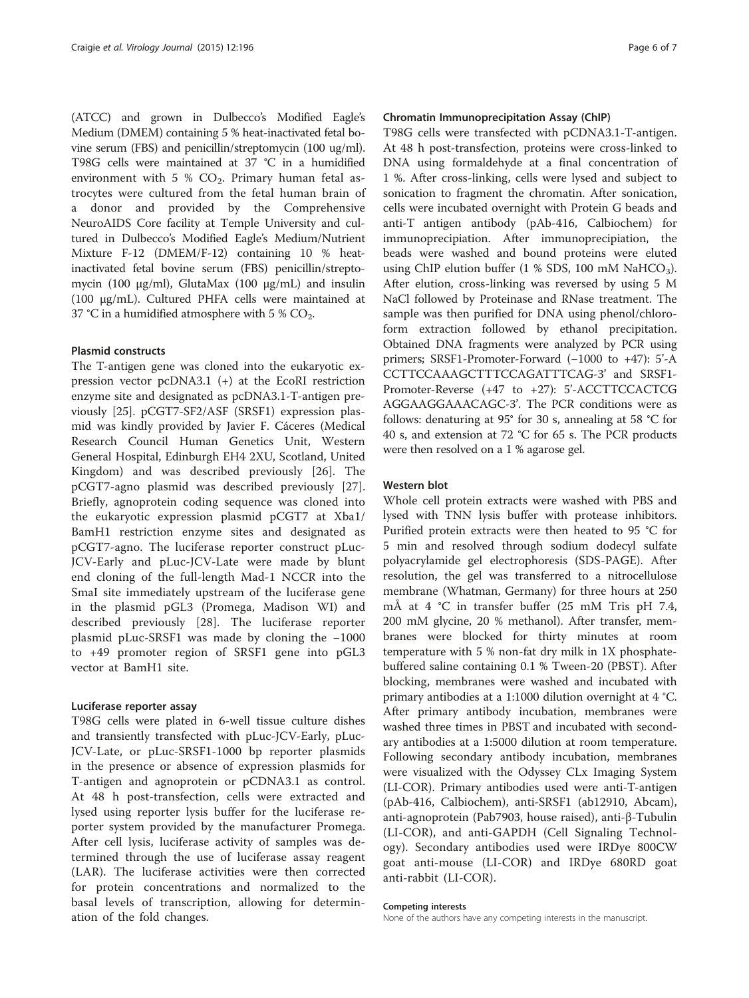(ATCC) and grown in Dulbecco's Modified Eagle's Medium (DMEM) containing 5 % heat-inactivated fetal bovine serum (FBS) and penicillin/streptomycin (100 ug/ml). T98G cells were maintained at 37 °C in a humidified environment with 5 %  $CO<sub>2</sub>$ . Primary human fetal astrocytes were cultured from the fetal human brain of a donor and provided by the Comprehensive NeuroAIDS Core facility at Temple University and cultured in Dulbecco's Modified Eagle's Medium/Nutrient Mixture F-12 (DMEM/F-12) containing 10 % heatinactivated fetal bovine serum (FBS) penicillin/streptomycin (100 μg/ml), GlutaMax (100 μg/mL) and insulin (100 μg/mL). Cultured PHFA cells were maintained at 37 °C in a humidified atmosphere with 5 %  $CO<sub>2</sub>$ .

#### Plasmid constructs

The T-antigen gene was cloned into the eukaryotic expression vector pcDNA3.1 (+) at the EcoRI restriction enzyme site and designated as pcDNA3.1-T-antigen previously [[25](#page-6-0)]. pCGT7-SF2/ASF (SRSF1) expression plasmid was kindly provided by Javier F. Cáceres (Medical Research Council Human Genetics Unit, Western General Hospital, Edinburgh EH4 2XU, Scotland, United Kingdom) and was described previously [\[26](#page-6-0)]. The pCGT7-agno plasmid was described previously [\[27](#page-6-0)]. Briefly, agnoprotein coding sequence was cloned into the eukaryotic expression plasmid pCGT7 at Xba1/ BamH1 restriction enzyme sites and designated as pCGT7-agno. The luciferase reporter construct pLuc-JCV-Early and pLuc-JCV-Late were made by blunt end cloning of the full-length Mad-1 NCCR into the SmaI site immediately upstream of the luciferase gene in the plasmid pGL3 (Promega, Madison WI) and described previously [\[28](#page-6-0)]. The luciferase reporter plasmid pLuc-SRSF1 was made by cloning the −1000 to +49 promoter region of SRSF1 gene into pGL3 vector at BamH1 site.

#### Luciferase reporter assay

T98G cells were plated in 6-well tissue culture dishes and transiently transfected with pLuc-JCV-Early, pLuc-JCV-Late, or pLuc-SRSF1-1000 bp reporter plasmids in the presence or absence of expression plasmids for T-antigen and agnoprotein or pCDNA3.1 as control. At 48 h post-transfection, cells were extracted and lysed using reporter lysis buffer for the luciferase reporter system provided by the manufacturer Promega. After cell lysis, luciferase activity of samples was determined through the use of luciferase assay reagent (LAR). The luciferase activities were then corrected for protein concentrations and normalized to the basal levels of transcription, allowing for determination of the fold changes.

#### Chromatin Immunoprecipitation Assay (ChIP)

T98G cells were transfected with pCDNA3.1-T-antigen. At 48 h post-transfection, proteins were cross-linked to DNA using formaldehyde at a final concentration of 1 %. After cross-linking, cells were lysed and subject to sonication to fragment the chromatin. After sonication, cells were incubated overnight with Protein G beads and anti-T antigen antibody (pAb-416, Calbiochem) for immunoprecipiation. After immunoprecipiation, the beads were washed and bound proteins were eluted using ChIP elution buffer  $(1 % SDS, 100 mM NaHCO<sub>3</sub>)$ . After elution, cross-linking was reversed by using 5 M NaCl followed by Proteinase and RNase treatment. The sample was then purified for DNA using phenol/chloroform extraction followed by ethanol precipitation. Obtained DNA fragments were analyzed by PCR using primers; SRSF1-Promoter-Forward (-1000 to +47): 5'-A CCTTCCAAAGCTTTCCAGATTTCAG-3' and SRSF1- Promoter-Reverse (+47 to +27): 5'-ACCTTCCACTCG AGGAAGGAAACAGC-3'. The PCR conditions were as follows: denaturing at 95° for 30 s, annealing at 58 °C for 40 s, and extension at 72 °C for 65 s. The PCR products were then resolved on a 1 % agarose gel.

#### Western blot

Whole cell protein extracts were washed with PBS and lysed with TNN lysis buffer with protease inhibitors. Purified protein extracts were then heated to 95 °C for 5 min and resolved through sodium dodecyl sulfate polyacrylamide gel electrophoresis (SDS-PAGE). After resolution, the gel was transferred to a nitrocellulose membrane (Whatman, Germany) for three hours at 250 mÅ at 4 °C in transfer buffer (25 mM Tris pH 7.4, 200 mM glycine, 20 % methanol). After transfer, membranes were blocked for thirty minutes at room temperature with 5 % non-fat dry milk in 1X phosphatebuffered saline containing 0.1 % Tween-20 (PBST). After blocking, membranes were washed and incubated with primary antibodies at a 1:1000 dilution overnight at 4 °C. After primary antibody incubation, membranes were washed three times in PBST and incubated with secondary antibodies at a 1:5000 dilution at room temperature. Following secondary antibody incubation, membranes were visualized with the Odyssey CLx Imaging System (LI-COR). Primary antibodies used were anti-T-antigen (pAb-416, Calbiochem), anti-SRSF1 (ab12910, Abcam), anti-agnoprotein (Pab7903, house raised), anti-β-Tubulin (LI-COR), and anti-GAPDH (Cell Signaling Technology). Secondary antibodies used were IRDye 800CW goat anti-mouse (LI-COR) and IRDye 680RD goat anti-rabbit (LI-COR).

#### Competing interests

None of the authors have any competing interests in the manuscript.